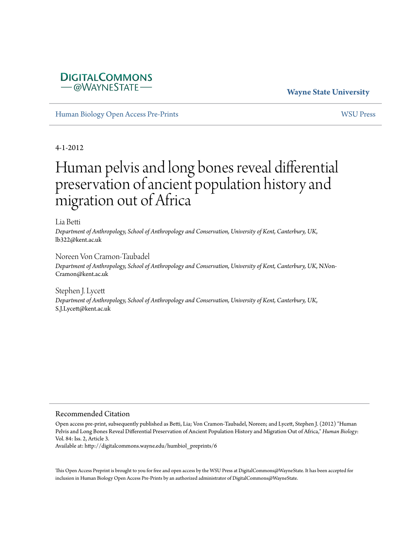# **DIGITALCOMMONS** -@WAYNESTATE

# **Wayne State University**

[Human Biology Open Access Pre-Prints](http://digitalcommons.wayne.edu/humbiol_preprints) [WSU Press](http://digitalcommons.wayne.edu/wsupress)

4-1-2012

# Human pelvis and long bones reveal differential preservation of ancient population history and migration out of Africa

Lia Betti

*Department of Anthropology, School of Anthropology and Conservation, University of Kent, Canterbury, UK*, lb322@kent.ac.uk

Noreen Von Cramon-Taubadel

*Department of Anthropology, School of Anthropology and Conservation, University of Kent, Canterbury, UK*, N.Von-Cramon@kent.ac.uk

Stephen J. Lycett *Department of Anthropology, School of Anthropology and Conservation, University of Kent, Canterbury, UK*, S.J.Lycett@kent.ac.uk

#### Recommended Citation

Open access pre-print, subsequently published as Betti, Lia; Von Cramon-Taubadel, Noreen; and Lycett, Stephen J. (2012) "Human Pelvis and Long Bones Reveal Differential Preservation of Ancient Population History and Migration Out of Africa," *Human Biology*: Vol. 84: Iss. 2, Article 3.

Available at: http://digitalcommons.wayne.edu/humbiol\_preprints/6

This Open Access Preprint is brought to you for free and open access by the WSU Press at DigitalCommons@WayneState. It has been accepted for inclusion in Human Biology Open Access Pre-Prints by an authorized administrator of DigitalCommons@WayneState.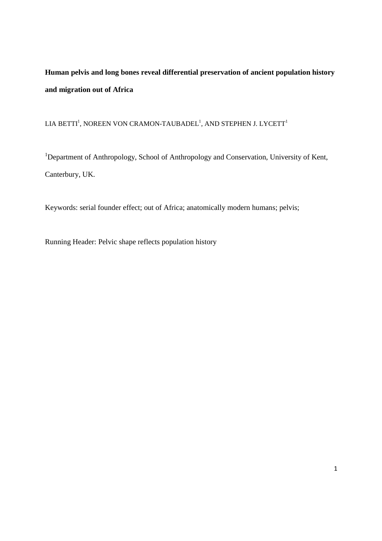# **Human pelvis and long bones reveal differential preservation of ancient population history and migration out of Africa**

# LIA BETTI<sup>1</sup>, NOREEN VON CRAMON-TAUBADEL<sup>1</sup>, AND STEPHEN J. LYCETT<sup>1</sup>

<sup>1</sup>Department of Anthropology, School of Anthropology and Conservation, University of Kent, Canterbury, UK.

Keywords: serial founder effect; out of Africa; anatomically modern humans; pelvis;

Running Header: Pelvic shape reflects population history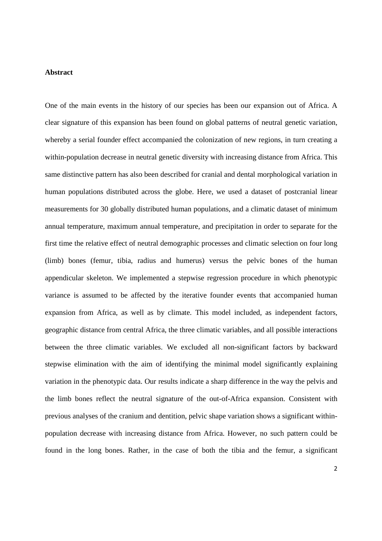### **Abstract**

One of the main events in the history of our species has been our expansion out of Africa. A clear signature of this expansion has been found on global patterns of neutral genetic variation, whereby a serial founder effect accompanied the colonization of new regions, in turn creating a within-population decrease in neutral genetic diversity with increasing distance from Africa. This same distinctive pattern has also been described for cranial and dental morphological variation in human populations distributed across the globe. Here, we used a dataset of postcranial linear measurements for 30 globally distributed human populations, and a climatic dataset of minimum annual temperature, maximum annual temperature, and precipitation in order to separate for the first time the relative effect of neutral demographic processes and climatic selection on four long (limb) bones (femur, tibia, radius and humerus) versus the pelvic bones of the human appendicular skeleton. We implemented a stepwise regression procedure in which phenotypic variance is assumed to be affected by the iterative founder events that accompanied human expansion from Africa, as well as by climate. This model included, as independent factors, geographic distance from central Africa, the three climatic variables, and all possible interactions between the three climatic variables. We excluded all non-significant factors by backward stepwise elimination with the aim of identifying the minimal model significantly explaining variation in the phenotypic data. Our results indicate a sharp difference in the way the pelvis and the limb bones reflect the neutral signature of the out-of-Africa expansion. Consistent with previous analyses of the cranium and dentition, pelvic shape variation shows a significant withinpopulation decrease with increasing distance from Africa. However, no such pattern could be found in the long bones. Rather, in the case of both the tibia and the femur, a significant